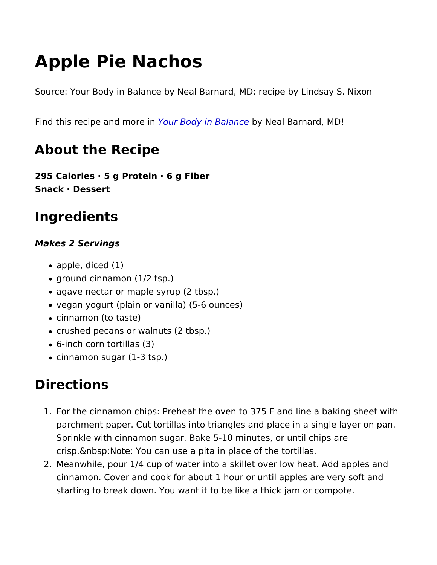# Apple Pie Nachos

Source: Your Body in Balance by Neal Barnard, MD; recipe by Lin

Find this recipe and Yno our Biondy in Babyn Neal Barnard, MD!

#### About the Recipe

295 Calories · 5 g Protein · 6 g Fiber Snack · Dessert

## Ingredients

Makes 2 Servings

- apple, diced (1)
- ground cinnamon (1/2 tsp.)
- agave nectar or maple syrup (2 tbsp.)
- vegan yogurt (plain or vanilla) (5-6 ounces)
- cinnamon (to taste)
- crushed pecans or walnuts (2 tbsp.)
- 6-inch corn tortillas (3)
- cinnamon sugar (1-3 tsp.)

### Directions

- 1. For the cinnamon chips: Preheat the oven to 375 F and line a parchment paper. Cut tortillas into triangles and place in a si Sprinkle with cinnamon sugar. Bake 5-10 minutes, or until chi crisp. & nbsp; Note: You can use a pita in place of the tortillas.
- 2. Meanwhile, pour 1/4 cup of water into a skillet over low heat. cinnamon. Cover and cook for about 1 hour or until apples are starting to break down. You want it to be like a thick jam or c